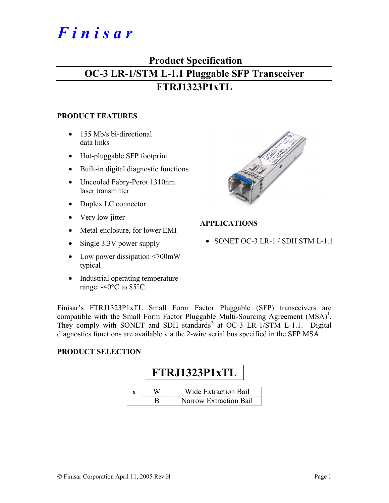# *F i n i s a r*

## **Product Specification OC-3 LR-1/STM L-1.1 Pluggable SFP Transceiver FTRJ1323P1xTL**

#### **PRODUCT FEATURES**

- 155 Mb/s bi-directional data links
- Hot-pluggable SFP footprint
- Built-in digital diagnostic functions
- Uncooled Fabry-Perot 1310nm laser transmitter
- Duplex LC connector
- Very low jitter
- Metal enclosure, for lower EMI
- Single 3.3V power supply
- Low power dissipation <700mW typical
- Industrial operating temperature range: -40°C to 85°C



#### **APPLICATIONS**

• SONET OC-3 LR-1 / SDH STM L-1.1

Finisar's FTRJ1323P1xTL Small Form Factor Pluggable (SFP) transceivers are compatible with the Small Form Factor Pluggable Multi-Sourcing Agreement  $(MSA)^1$ . They comply with SONET and SDH standards<sup>2</sup> at OC-3 LR-1/STM L-1.1. Digital diagnostics functions are available via the 2-wire serial bus specified in the SFP MSA.

#### **PRODUCT SELECTION**

# **FTRJ1323P1xTL**

|  | <b>Wide Extraction Bail</b> |
|--|-----------------------------|
|  | Narrow Extraction Bail      |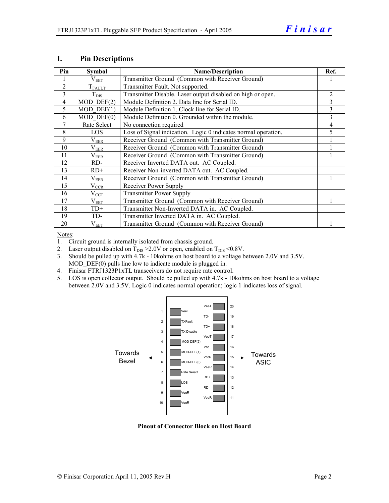| Pin            | <b>Symbol</b>           | <b>Name/Description</b>                                        | Ref. |
|----------------|-------------------------|----------------------------------------------------------------|------|
|                | $\rm V_{EET}$           | Transmitter Ground (Common with Receiver Ground)               |      |
| $\overline{2}$ | $T_{\rm FALLT}$         | Transmitter Fault. Not supported.                              |      |
| 3              | $T_{\text{DIS}}$        | Transmitter Disable. Laser output disabled on high or open.    | 2    |
| $\overline{4}$ | $\overline{MOD}$ DEF(2) | Module Definition 2. Data line for Serial ID.                  | 3    |
| 5              | $MOD$ DEF $(1)$         | Module Definition 1. Clock line for Serial ID.                 | 3    |
| 6              | $MOD$ $DEF(0)$          | Module Definition 0. Grounded within the module.               | 3    |
| 7              | Rate Select             | No connection required                                         | 4    |
| 8              | <b>LOS</b>              | Loss of Signal indication. Logic 0 indicates normal operation. | 5    |
| 9              | $\rm V_{EER}$           | Receiver Ground (Common with Transmitter Ground)               |      |
| 10             | $\rm V_{EER}$           | Receiver Ground (Common with Transmitter Ground)               |      |
| 11             | $\rm V_{EER}$           | Receiver Ground (Common with Transmitter Ground)               |      |
| 12             | RD-                     | Receiver Inverted DATA out. AC Coupled.                        |      |
| 13             | $RD+$                   | Receiver Non-inverted DATA out. AC Coupled.                    |      |
| 14             | $\rm V_{EER}$           | Receiver Ground (Common with Transmitter Ground)               |      |
| 15             | $V_{CCR}$               | Receiver Power Supply                                          |      |
| 16             | $V_{CCT}$               | <b>Transmitter Power Supply</b>                                |      |
| 17             | $\rm V_{EET}$           | Transmitter Ground (Common with Receiver Ground)               |      |
| 18             | $TD+$                   | Transmitter Non-Inverted DATA in. AC Coupled.                  |      |
| 19             | TD-                     | Transmitter Inverted DATA in. AC Coupled.                      |      |
| 20             | $V_{EET}$               | Transmitter Ground (Common with Receiver Ground)               |      |

#### **I. Pin Descriptions**

Notes:

1. Circuit ground is internally isolated from chassis ground.

- 2. Laser output disabled on  $T_{DIS} > 2.0V$  or open, enabled on  $T_{DIS} < 0.8V$ .
- 3. Should be pulled up with 4.7k 10kohms on host board to a voltage between 2.0V and 3.5V. MOD  $DEF(0)$  pulls line low to indicate module is plugged in.
- 4. Finisar FTRJ1323P1xTL transceivers do not require rate control.
- 5. LOS is open collector output. Should be pulled up with 4.7k 10kohms on host board to a voltage between 2.0V and 3.5V. Logic 0 indicates normal operation; logic 1 indicates loss of signal.



**Pinout of Connector Block on Host Board**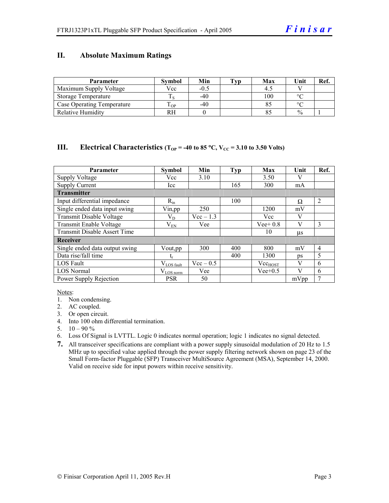#### **II. Absolute Maximum Ratings**

| <b>Parameter</b>                  | <b>Symbol</b> | Min    | Tvp | Max | Unit          | Ref. |
|-----------------------------------|---------------|--------|-----|-----|---------------|------|
| Maximum Supply Voltage            | Vcc           | $-0.5$ |     |     |               |      |
| Storage Temperature               |               | $-40$  |     | 100 | $\circ$       |      |
| <b>Case Operating Temperature</b> | m<br>OP.      | $-40$  |     |     | $\sim$        |      |
| <b>Relative Humidity</b>          | RH            |        |     |     | $\frac{0}{0}$ |      |

#### **III.** Electrical Characteristics ( $T_{OP}$  = -40 to 85 °C,  $V_{CC}$  = 3.10 to 3.50 Volts)

| <b>Parameter</b>                    | <b>Symbol</b>   | Min         | <b>Typ</b> | Max          | Unit    | Ref.           |
|-------------------------------------|-----------------|-------------|------------|--------------|---------|----------------|
| <b>Supply Voltage</b>               | Vcc             | 3.10        |            | 3.50         |         |                |
| <b>Supply Current</b>               | Icc             |             | 165        | 300          | mA      |                |
| <b>Transmitter</b>                  |                 |             |            |              |         |                |
| Input differential impedance        | $R_{in}$        |             | 100        |              | Ω       | $\overline{2}$ |
| Single ended data input swing       | Vin, pp         | 250         |            | 1200         | mV      |                |
| Transmit Disable Voltage            | $\rm V_{D}$     | $Vec-1.3$   |            | Vcc          | V       |                |
| Transmit Enable Voltage             | $\rm V_{EN}$    | Vee         |            | $Vee+0.8$    | V       | 3              |
| <b>Transmit Disable Assert Time</b> |                 |             |            | 10           | $\mu$ s |                |
| Receiver                            |                 |             |            |              |         |                |
| Single ended data output swing      | Vout, pp        | 300         | 400        | 800          | mV      | $\overline{4}$ |
| Data rise/fall time                 | t,              |             | 400        | 1300         | ps      | 5              |
| <b>LOS</b> Fault                    | $V_{LOS$ fault  | $Vec - 0.5$ |            | $Vec_{HOST}$ | V       | 6              |
| <b>LOS Normal</b>                   | $V_{LOS\,norm}$ | Vee         |            | $Vee+0.5$    | V       | 6              |
| Power Supply Rejection              | <b>PSR</b>      | 50          |            |              | mVpp    | 7              |

Notes:

- 1. Non condensing.
- 2. AC coupled.
- 3. Or open circuit.
- 4. Into 100 ohm differential termination.
- 5.  $10 90 \%$
- 6. Loss Of Signal is LVTTL. Logic 0 indicates normal operation; logic 1 indicates no signal detected.
- **7.** All transceiver specifications are compliant with a power supply sinusoidal modulation of 20 Hz to 1.5 MHz up to specified value applied through the power supply filtering network shown on page 23 of the Small Form-factor Pluggable (SFP) Transceiver MultiSource Agreement (MSA), September 14, 2000. Valid on receive side for input powers within receive sensitivity.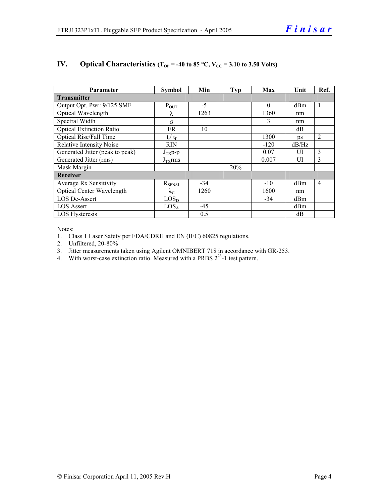| <b>Parameter</b>                 | <b>Symbol</b>       | Min   | <b>Typ</b> | Max      | Unit  | Ref.           |  |
|----------------------------------|---------------------|-------|------------|----------|-------|----------------|--|
| <b>Transmitter</b>               |                     |       |            |          |       |                |  |
| Output Opt. Pwr: 9/125 SMF       | $P_{\text{OUT}}$    | $-5$  |            | $\Omega$ | dBm   |                |  |
| Optical Wavelength               | λ                   | 1263  |            | 1360     | nm    |                |  |
| Spectral Width                   | $\sigma$            |       |            | 3        | nm    |                |  |
| <b>Optical Extinction Ratio</b>  | ER                  | 10    |            |          | dB    |                |  |
| Optical Rise/Fall Time           | $t_r / t_f$         |       |            | 1300     | ps    | 2              |  |
| <b>Relative Intensity Noise</b>  | <b>RIN</b>          |       |            | $-120$   | dB/Hz |                |  |
| Generated Jitter (peak to peak)  | $J_{TX}p-p$         |       |            | 0.07     | UI    | 3              |  |
| Generated Jitter (rms)           | $J_{\text{TX}}$ rms |       |            | 0.007    | UI    | 3              |  |
| Mask Margin                      |                     |       | 20%        |          |       |                |  |
| Receiver                         |                     |       |            |          |       |                |  |
| Average Rx Sensitivity           | $R_{SENS1}$         | $-34$ |            | $-10$    | dBm   | $\overline{4}$ |  |
| <b>Optical Center Wavelength</b> | $\lambda_{\rm C}$   | 1260  |            | 1600     | nm    |                |  |
| <b>LOS De-Assert</b>             | LOS <sub>D</sub>    |       |            | $-34$    | dBm   |                |  |
| <b>LOS Assert</b>                | LOS <sub>A</sub>    | $-45$ |            |          | dBm   |                |  |
| LOS Hysteresis                   |                     | 0.5   |            |          | dB    |                |  |

#### **IV.** Optical Characteristics ( $T_{OP}$  = -40 to 85 °C,  $V_{CC}$  = 3.10 to 3.50 Volts)

Notes:

1. Class 1 Laser Safety per FDA/CDRH and EN (IEC) 60825 regulations.

2. Unfiltered, 20-80%

- 3. Jitter measurements taken using Agilent OMNIBERT 718 in accordance with GR-253.
- 4. With worst-case extinction ratio. Measured with a PRBS  $2^{23}$ -1 test pattern.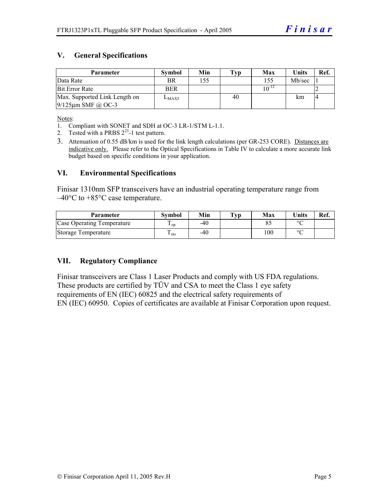#### **V. General Specifications**

| Parameter                     | <b>Symbol</b> | Min | Typ | Max        | Units  | Ref.           |
|-------------------------------|---------------|-----|-----|------------|--------|----------------|
| Data Rate                     | BR            | 155 |     | 155        | Mb/sec |                |
| <b>Bit Error Rate</b>         | <b>BER</b>    |     |     | $10^{-12}$ |        |                |
| Max. Supported Link Length on | $L_{MAX5}$    |     | 40  |            | km     | $\overline{4}$ |
| $9/125 \mu m$ SMF @ OC-3      |               |     |     |            |        |                |

Notes:

- 1. Compliant with SONET and SDH at OC-3 LR-1/STM L-1.1.
- 2. Tested with a PRBS  $2^{23}$ -1 test pattern.
- 3. Attenuation of 0.55 dB/km is used for the link length calculations (per GR-253 CORE). Distances are indicative only. Please refer to the Optical Specifications in Table IV to calculate a more accurate link budget based on specific conditions in your application.

#### **VI. Environmental Specifications**

Finisar 1310nm SFP transceivers have an industrial operating temperature range from  $-40^{\circ}$ C to  $+85^{\circ}$ C case temperature.

| Parameter                  | Svmbol | Min | $\mathbf{T}_{\mathbf{V}\mathbf{p}}$ | Max | <b>Units</b> | Ref. |
|----------------------------|--------|-----|-------------------------------------|-----|--------------|------|
| Case Operating Temperature | ' op   | -40 |                                     |     | $\circ$      |      |
| Storage Temperature        | ⊥ sto  | -40 |                                     | 100 | $\sim$       |      |

#### **VII. Regulatory Compliance**

Finisar transceivers are Class 1 Laser Products and comply with US FDA regulations. These products are certified by TÜV and CSA to meet the Class 1 eye safety requirements of EN (IEC) 60825 and the electrical safety requirements of EN (IEC) 60950. Copies of certificates are available at Finisar Corporation upon request.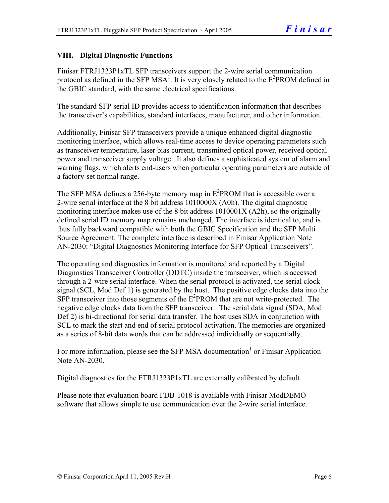#### **VIII. Digital Diagnostic Functions**

Finisar FTRJ1323P1xTL SFP transceivers support the 2-wire serial communication protocol as defined in the SFP MSA<sup>1</sup>. It is very closely related to the  $E^2$ PROM defined in the GBIC standard, with the same electrical specifications.

The standard SFP serial ID provides access to identification information that describes the transceiver's capabilities, standard interfaces, manufacturer, and other information.

Additionally, Finisar SFP transceivers provide a unique enhanced digital diagnostic monitoring interface, which allows real-time access to device operating parameters such as transceiver temperature, laser bias current, transmitted optical power, received optical power and transceiver supply voltage. It also defines a sophisticated system of alarm and warning flags, which alerts end-users when particular operating parameters are outside of a factory-set normal range.

The SFP MSA defines a 256-byte memory map in  $E^2$ PROM that is accessible over a 2-wire serial interface at the 8 bit address 1010000X (A0h). The digital diagnostic monitoring interface makes use of the 8 bit address 1010001X (A2h), so the originally defined serial ID memory map remains unchanged. The interface is identical to, and is thus fully backward compatible with both the GBIC Specification and the SFP Multi Source Agreement. The complete interface is described in Finisar Application Note AN-2030: "Digital Diagnostics Monitoring Interface for SFP Optical Transceivers".

The operating and diagnostics information is monitored and reported by a Digital Diagnostics Transceiver Controller (DDTC) inside the transceiver, which is accessed through a 2-wire serial interface. When the serial protocol is activated, the serial clock signal (SCL, Mod Def 1) is generated by the host. The positive edge clocks data into the  $SFP$  transceiver into those segments of the  $E^2$ PROM that are not write-protected. The negative edge clocks data from the SFP transceiver. The serial data signal (SDA, Mod Def 2) is bi-directional for serial data transfer. The host uses SDA in conjunction with SCL to mark the start and end of serial protocol activation. The memories are organized as a series of 8-bit data words that can be addressed individually or sequentially.

For more information, please see the SFP MSA documentation<sup>1</sup> or Finisar Application Note AN-2030.

Digital diagnostics for the FTRJ1323P1xTL are externally calibrated by default.

Please note that evaluation board FDB-1018 is available with Finisar ModDEMO software that allows simple to use communication over the 2-wire serial interface.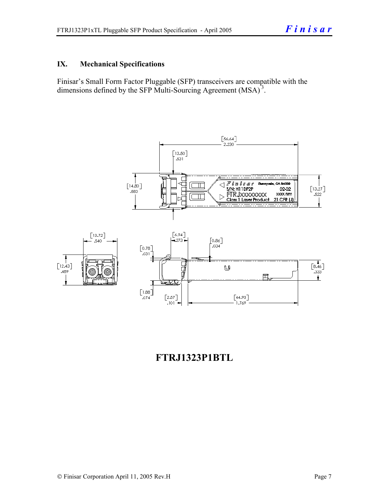#### **IX. Mechanical Specifications**

Finisar's Small Form Factor Pluggable (SFP) transceivers are compatible with the dimensions defined by the SFP Multi-Sourcing Agreement (MSA)<sup>3</sup>.



### **FTRJ1323P1BTL**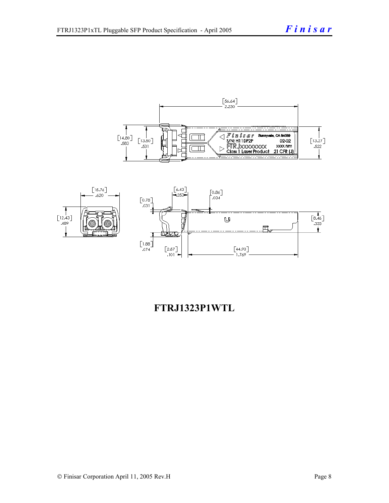



### **FTRJ1323P1WTL**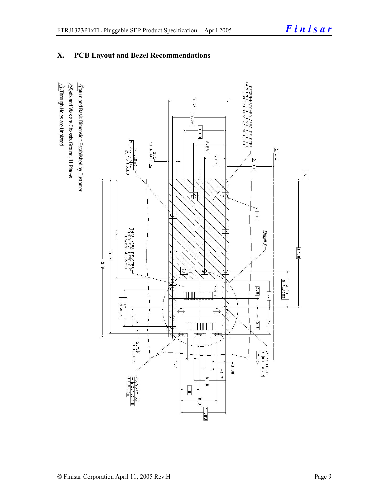#### **X. PCB Layout and Bezel Recommendations**

 $\hat{\triangle}$ Through Holes are Unplated  $\Delta$ atum and Basic Dimension Established by Customer  $\triangle$ Rads and Vias are Chassis Ground, 11 Places

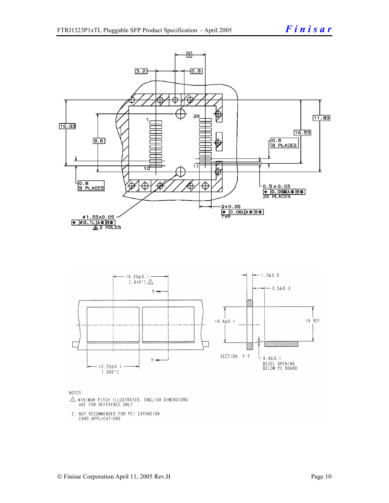

NOTES:

- $\triangle$  MINIMUM PITCH ILLUSTRATED, ENGLISH DIMENSIONS ARE FOR REFERENCE ONLY
- 2. NOT RECOMMENDED FOR PCI EXPANSION CARD APPLICATIONS